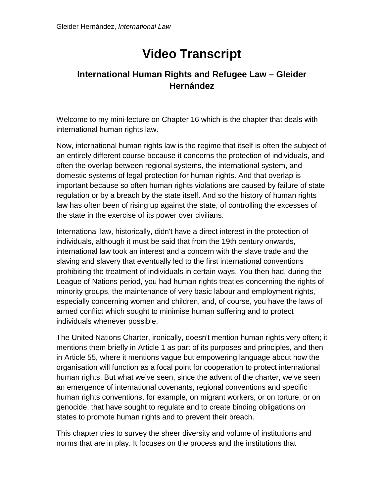## **Video Transcript**

## **International Human Rights and Refugee Law – Gleider Hernández**

Welcome to my mini-lecture on Chapter 16 which is the chapter that deals with international human rights law.

Now, international human rights law is the regime that itself is often the subject of an entirely different course because it concerns the protection of individuals, and often the overlap between regional systems, the international system, and domestic systems of legal protection for human rights. And that overlap is important because so often human rights violations are caused by failure of state regulation or by a breach by the state itself. And so the history of human rights law has often been of rising up against the state, of controlling the excesses of the state in the exercise of its power over civilians.

International law, historically, didn't have a direct interest in the protection of individuals, although it must be said that from the 19th century onwards, international law took an interest and a concern with the slave trade and the slaving and slavery that eventually led to the first international conventions prohibiting the treatment of individuals in certain ways. You then had, during the League of Nations period, you had human rights treaties concerning the rights of minority groups, the maintenance of very basic labour and employment rights, especially concerning women and children, and, of course, you have the laws of armed conflict which sought to minimise human suffering and to protect individuals whenever possible.

The United Nations Charter, ironically, doesn't mention human rights very often; it mentions them briefly in Article 1 as part of its purposes and principles, and then in Article 55, where it mentions vague but empowering language about how the organisation will function as a focal point for cooperation to protect international human rights. But what we've seen, since the advent of the charter, we've seen an emergence of international covenants, regional conventions and specific human rights conventions, for example, on migrant workers, or on torture, or on genocide, that have sought to regulate and to create binding obligations on states to promote human rights and to prevent their breach.

This chapter tries to survey the sheer diversity and volume of institutions and norms that are in play. It focuses on the process and the institutions that